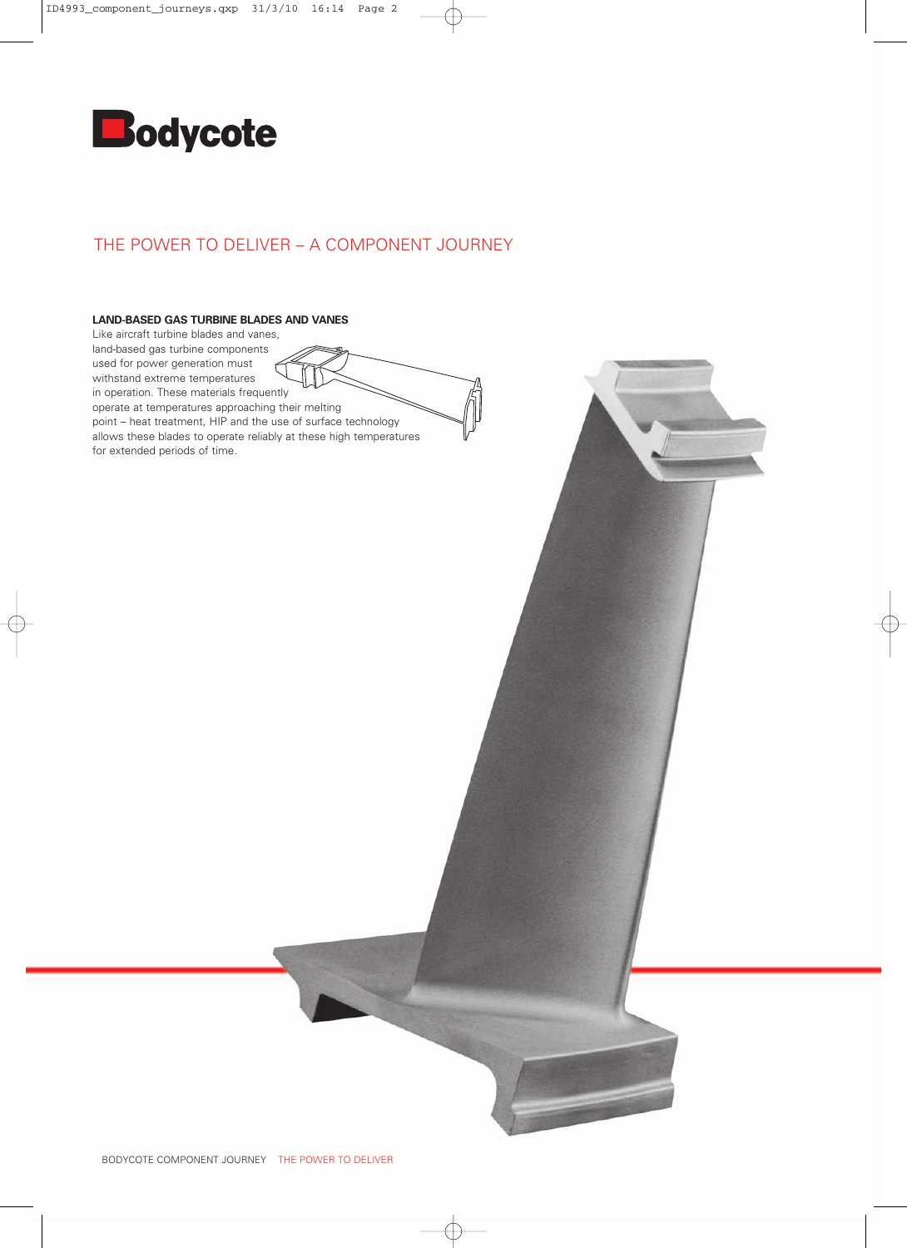

## THE POWER TO DELIVER – A COMPONENT JOURNEY

## **LAND-BASED GAS TURBINE BLADES AND VANES**